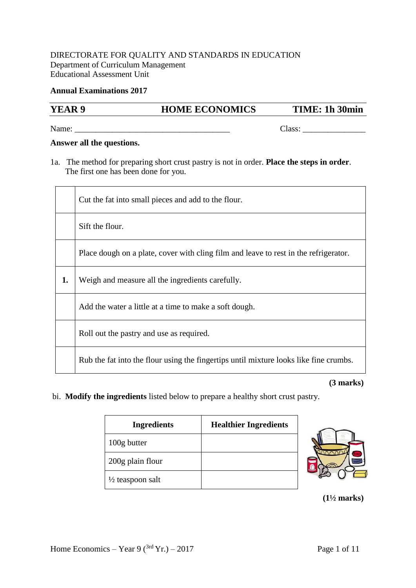### DIRECTORATE FOR QUALITY AND STANDARDS IN EDUCATION Department of Curriculum Management Educational Assessment Unit

### **Annual Examinations 2017**

## **YEAR 9 HOME ECONOMICS TIME: 1h 30min**

Name:  $\Box$ 

#### **Answer all the questions.**

1a. The method for preparing short crust pastry is not in order. **Place the steps in order**. The first one has been done for you.

|    | Cut the fat into small pieces and add to the flour.                                   |  |
|----|---------------------------------------------------------------------------------------|--|
|    | Sift the flour.                                                                       |  |
|    | Place dough on a plate, cover with cling film and leave to rest in the refrigerator.  |  |
| 1. | Weigh and measure all the ingredients carefully.                                      |  |
|    | Add the water a little at a time to make a soft dough.                                |  |
|    | Roll out the pastry and use as required.                                              |  |
|    | Rub the fat into the flour using the fingertips until mixture looks like fine crumbs. |  |

 **(3 marks)**

bi. **Modify the ingredients** listed below to prepare a healthy short crust pastry.

| <b>Ingredients</b>          | <b>Healthier Ingredients</b> |
|-----------------------------|------------------------------|
| 100g butter                 |                              |
| 200g plain flour            |                              |
| $\frac{1}{2}$ teaspoon salt |                              |



 **(1½ marks)**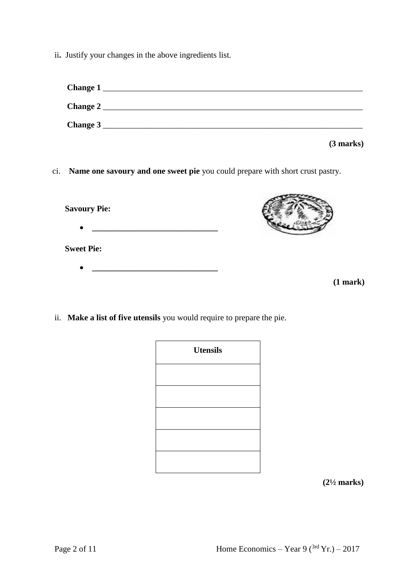ii**.** Justify your changes in the above ingredients list.

| Change 1                                                                          |
|-----------------------------------------------------------------------------------|
|                                                                                   |
|                                                                                   |
| (3 marks)                                                                         |
| ci. Name one savoury and one sweet pie you could prepare with short crust pastry. |
|                                                                                   |
|                                                                                   |
| $(1$ mark $)$                                                                     |
|                                                                                   |

ii. **Make a list of five utensils** you would require to prepare the pie.

| <b>Utensils</b> |  |  |
|-----------------|--|--|
|                 |  |  |
|                 |  |  |
|                 |  |  |
|                 |  |  |
|                 |  |  |

 **(2½ marks)**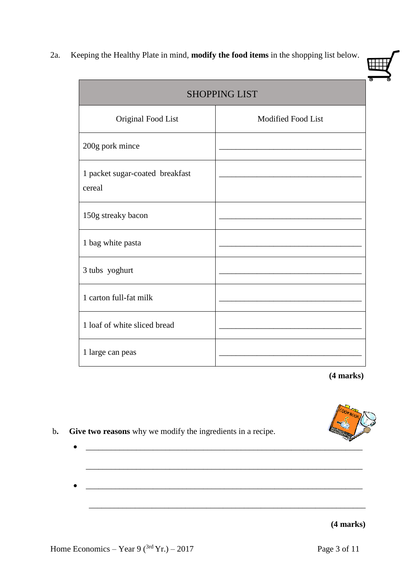2a.Keeping the Healthy Plate in mind, **modify the food items** in the shopping list below.

Г

|                                           | <b>SHOPPING LIST</b> |
|-------------------------------------------|----------------------|
| Original Food List                        | Modified Food List   |
| 200g pork mince                           |                      |
| 1 packet sugar-coated breakfast<br>cereal |                      |
| 150g streaky bacon                        |                      |
| 1 bag white pasta                         |                      |
| 3 tubs yoghurt                            |                      |
| 1 carton full-fat milk                    |                      |
| 1 loaf of white sliced bread              |                      |
| 1 large can peas                          |                      |

 $\mathcal{L}_\text{max} = \mathcal{L}_\text{max} = \mathcal{L}_\text{max} = \mathcal{L}_\text{max} = \mathcal{L}_\text{max} = \mathcal{L}_\text{max} = \mathcal{L}_\text{max} = \mathcal{L}_\text{max} = \mathcal{L}_\text{max} = \mathcal{L}_\text{max} = \mathcal{L}_\text{max} = \mathcal{L}_\text{max} = \mathcal{L}_\text{max} = \mathcal{L}_\text{max} = \mathcal{L}_\text{max} = \mathcal{L}_\text{max} = \mathcal{L}_\text{max} = \mathcal{L}_\text{max} = \mathcal{$ 

\_\_\_\_\_\_\_\_\_\_\_\_\_\_\_\_\_\_\_\_\_\_\_\_\_\_\_\_\_\_\_\_\_\_\_\_\_\_\_\_\_\_\_\_\_\_\_\_\_\_\_\_\_\_\_\_\_\_\_\_\_\_\_\_\_\_

**(4 marks)**



b**. Give two reasons** why we modify the ingredients in a recipe.

# **(4 marks)**

Home Economics – Year 9 ( $3rd$  Yr.) – 2017 Page 3 of 11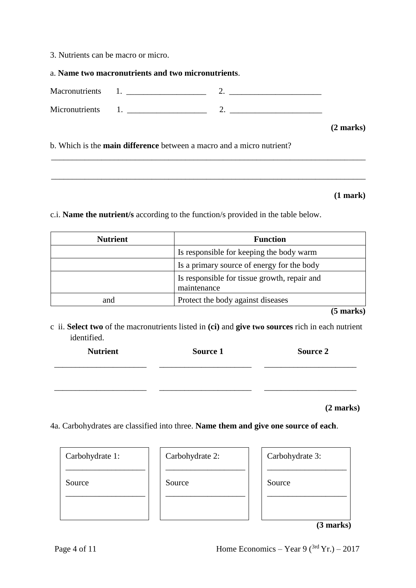3. Nutrients can be macro or micro.

a. **Name two macronutrients and two micronutrients**.

Macronutrients 1.  $\hspace{1.5cm}$  2. Micronutrients 1.  $\frac{1}{2}$  2.  $\frac{1}{2}$ 

**(2 marks)**

b. Which is the **main difference** between a macro and a micro nutrient?

**(1 mark)**

c.i. **Name the nutrient/s** according to the function/s provided in the table below.

| <b>Nutrient</b> | <b>Function</b>                                             |  |
|-----------------|-------------------------------------------------------------|--|
|                 | Is responsible for keeping the body warm                    |  |
|                 | Is a primary source of energy for the body                  |  |
|                 | Is responsible for tissue growth, repair and<br>maintenance |  |
| and             | Protect the body against diseases                           |  |

\_\_\_\_\_\_\_\_\_\_\_\_\_\_\_\_\_\_\_\_\_\_\_\_\_\_\_\_\_\_\_\_\_\_\_\_\_\_\_\_\_\_\_\_\_\_\_\_\_\_\_\_\_\_\_\_\_\_\_\_\_\_\_\_\_\_\_\_\_\_\_\_\_\_\_

\_\_\_\_\_\_\_\_\_\_\_\_\_\_\_\_\_\_\_\_\_\_\_\_\_\_\_\_\_\_\_\_\_\_\_\_\_\_\_\_\_\_\_\_\_\_\_\_\_\_\_\_\_\_\_\_\_\_\_\_\_\_\_\_\_\_\_\_\_\_\_\_\_\_\_

**(5 marks)**

c ii. **Select two** of the macronutrients listed in **(ci)** and **give two sources** rich in each nutrient identified.

| <b>Nutrient</b> | Source 1 | <b>Source 2</b> |
|-----------------|----------|-----------------|
|                 |          |                 |
|                 |          |                 |
|                 |          |                 |

**(2 marks)** 

4a. Carbohydrates are classified into three. **Name them and give one source of each**.

| Carbohydrate 1: | Carbohydrate 2: | Carbohydrate 3: |
|-----------------|-----------------|-----------------|
| Source          | Source          | Source          |
|                 |                 |                 |

**(3 marks)**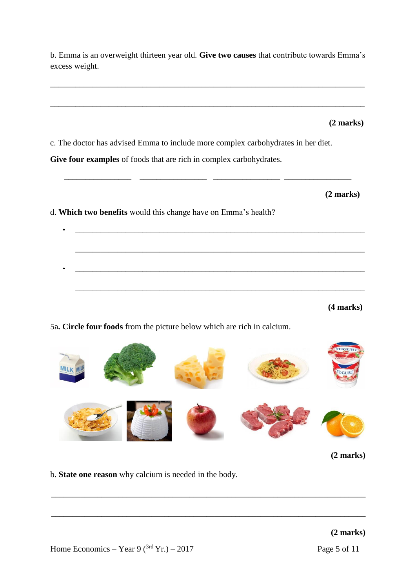\_\_\_\_\_\_\_\_\_\_\_\_\_\_\_\_\_\_\_\_\_\_\_\_\_\_\_\_\_\_\_\_\_\_\_\_\_\_\_\_\_\_\_\_\_\_\_\_\_\_\_\_\_\_\_\_\_\_\_\_\_\_\_\_\_\_\_\_\_\_\_\_\_\_\_ **(2 marks)**  c. The doctor has advised Emma to include more complex carbohydrates in her diet. **Give four examples** of foods that are rich in complex carbohydrates.  $\_$ **(2 marks)**  d. **Which two benefits** would this change have on Emma's health? • \_\_\_\_\_\_\_\_\_\_\_\_\_\_\_\_\_\_\_\_\_\_\_\_\_\_\_\_\_\_\_\_\_\_\_\_\_\_\_\_\_\_\_\_\_\_\_\_\_\_\_\_\_\_\_\_\_\_\_\_\_\_\_\_\_\_\_\_\_ \_\_\_\_\_\_\_\_\_\_\_\_\_\_\_\_\_\_\_\_\_\_\_\_\_\_\_\_\_\_\_\_\_\_\_\_\_\_\_\_\_\_\_\_\_\_\_\_\_\_\_\_\_\_\_\_\_\_\_\_\_\_\_\_\_\_\_\_\_  $\mathcal{L}_\text{eff}$ \_\_\_\_\_\_\_\_\_\_\_\_\_\_\_\_\_\_\_\_\_\_\_\_\_\_\_\_\_\_\_\_\_\_\_\_\_\_\_\_\_\_\_\_\_\_\_\_\_\_\_\_\_\_\_\_\_\_\_\_\_\_\_\_\_\_\_\_\_ **(4 marks)** 5a**. Circle four foods** from the picture below which are rich in calcium. OGURT

b. Emma is an overweight thirteen year old. **Give two causes** that contribute towards Emma's

\_\_\_\_\_\_\_\_\_\_\_\_\_\_\_\_\_\_\_\_\_\_\_\_\_\_\_\_\_\_\_\_\_\_\_\_\_\_\_\_\_\_\_\_\_\_\_\_\_\_\_\_\_\_\_\_\_\_\_\_\_\_\_\_\_\_\_\_\_\_\_\_\_\_\_

excess weight.



\_\_\_\_\_\_\_\_\_\_\_\_\_\_\_\_\_\_\_\_\_\_\_\_\_\_\_\_\_\_\_\_\_\_\_\_\_\_\_\_\_\_\_\_\_\_\_\_\_\_\_\_\_\_\_\_\_\_\_\_\_\_\_\_\_\_\_\_\_\_\_\_\_\_\_

\_\_\_\_\_\_\_\_\_\_\_\_\_\_\_\_\_\_\_\_\_\_\_\_\_\_\_\_\_\_\_\_\_\_\_\_\_\_\_\_\_\_\_\_\_\_\_\_\_\_\_\_\_\_\_\_\_\_\_\_\_\_\_\_\_\_\_\_\_\_\_\_\_\_\_

**(2 marks)**

b. **State one reason** why calcium is needed in the body.

**(2 marks)**

Home Economics – Year 9 ( $3rd$  Yr.) – 2017 Page 5 of 11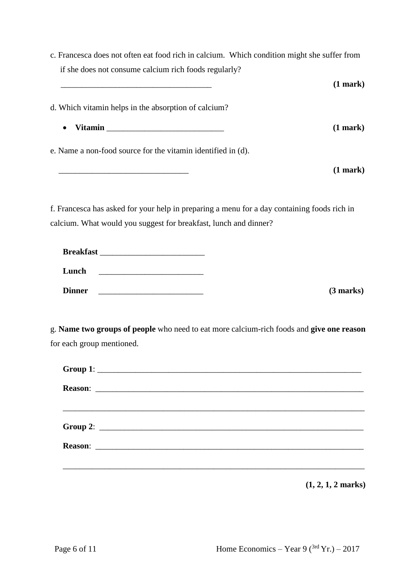|                                                       | c. Francesca does not often eat food rich in calcium. Which condition might she suffer from |
|-------------------------------------------------------|---------------------------------------------------------------------------------------------|
| if she does not consume calcium rich foods regularly? |                                                                                             |

|                                                                                                                                                                                                                                             | $(1$ mark $)$ |
|---------------------------------------------------------------------------------------------------------------------------------------------------------------------------------------------------------------------------------------------|---------------|
| d. Which vitamin helps in the absorption of calcium?                                                                                                                                                                                        |               |
| Vitamin Land and the Communication of the Communication of the Communication of the Communication of the Communication of the Communication of the Communication of the Communication of the Communication of the Communicatio<br>$\bullet$ | $(1$ mark $)$ |
| e. Name a non-food source for the vitamin identified in (d).                                                                                                                                                                                |               |
|                                                                                                                                                                                                                                             | $(1$ mark $)$ |

f. Francesca has asked for your help in preparing a menu for a day containing foods rich in calcium. What would you suggest for breakfast, lunch and dinner?

| <b>Breakfast</b> |  |  |
|------------------|--|--|
| Lunch            |  |  |
| <b>Dinner</b>    |  |  |

**Dinner** \_\_\_\_\_\_\_\_\_\_\_\_\_\_\_\_\_\_\_\_\_\_\_\_\_ **(3 marks)** 

g. **Name two groups of people** who need to eat more calcium-rich foods and **give one reason** for each group mentioned.

**(1, 2, 1, 2 marks)**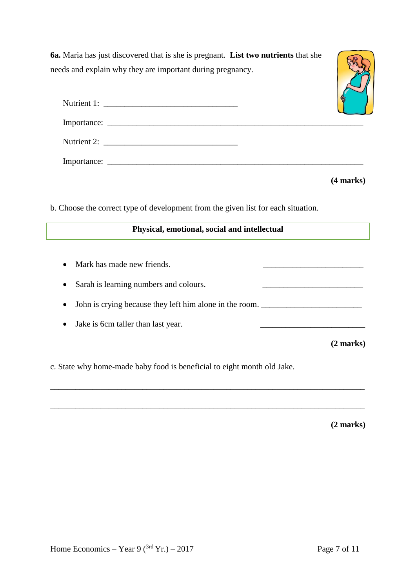**6a.** Maria has just discovered that is she is pregnant. **List two nutrients** that she needs and explain why they are important during pregnancy.



**(4 marks)**

b. Choose the correct type of development from the given list for each situation.

### **Physical, emotional, social and intellectual**

\_\_\_\_\_\_\_\_\_\_\_\_\_\_\_\_\_\_\_\_\_\_\_\_\_\_\_\_\_\_\_\_\_\_\_\_\_\_\_\_\_\_\_\_\_\_\_\_\_\_\_\_\_\_\_\_\_\_\_\_\_\_\_\_\_\_\_\_\_\_\_\_\_\_\_

\_\_\_\_\_\_\_\_\_\_\_\_\_\_\_\_\_\_\_\_\_\_\_\_\_\_\_\_\_\_\_\_\_\_\_\_\_\_\_\_\_\_\_\_\_\_\_\_\_\_\_\_\_\_\_\_\_\_\_\_\_\_\_\_\_\_\_\_\_\_\_\_\_\_\_

- Mark has made new friends.
- Sarah is learning numbers and colours.
- John is crying because they left him alone in the room.
- Jake is 6cm taller than last year.

**(2 marks)**

c. State why home-made baby food is beneficial to eight month old Jake.

**(2 marks)**

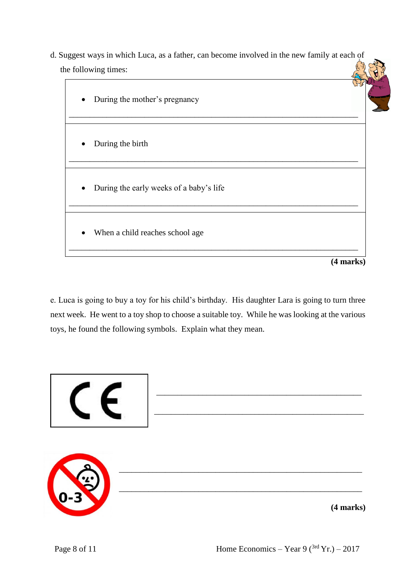d. Suggest ways in which Luca, as a father, can become involved in the new family at each of the following times:



e. Luca is going to buy a toy for his child's birthday. His daughter Lara is going to turn three next week. He went to a toy shop to choose a suitable toy. While he was looking at the various toys, he found the following symbols. Explain what they mean.

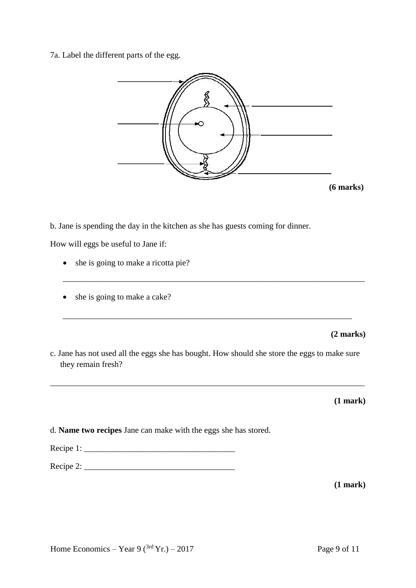7a. Label the different parts of the egg.



b. Jane is spending the day in the kitchen as she has guests coming for dinner.

How will eggs be useful to Jane if:

- she is going to make a ricotta pie?
- she is going to make a cake?

**(2 marks)** 

c. Jane has not used all the eggs she has bought. How should she store the eggs to make sure they remain fresh?

\_\_\_\_\_\_\_\_\_\_\_\_\_\_\_\_\_\_\_\_\_\_\_\_\_\_\_\_\_\_\_\_\_\_\_\_\_\_\_\_\_\_\_\_\_\_\_\_\_\_\_\_\_\_\_\_\_\_\_\_\_\_\_\_\_\_\_\_\_\_\_\_\_\_\_

\_\_\_\_\_\_\_\_\_\_\_\_\_\_\_\_\_\_\_\_\_\_\_\_\_\_\_\_\_\_\_\_\_\_\_\_\_\_\_\_\_\_\_\_\_\_\_\_\_\_\_\_\_\_\_\_\_\_\_\_\_\_\_\_\_\_\_\_\_

\_\_\_\_\_\_\_\_\_\_\_\_\_\_\_\_\_\_\_\_\_\_\_\_\_\_\_\_\_\_\_\_\_\_\_\_\_\_\_\_\_\_\_\_\_\_\_\_\_\_\_\_\_\_\_\_\_\_\_\_\_\_\_\_\_\_\_\_\_\_\_\_

**(1 mark)** 

d. **Name two recipes** Jane can make with the eggs she has stored.

Recipe 1: \_\_\_\_\_\_\_\_\_\_\_\_\_\_\_\_\_\_\_\_\_\_\_\_\_\_\_\_\_\_\_\_\_\_\_\_

Recipe 2: \_\_\_\_\_\_\_\_\_\_\_\_\_\_\_\_\_\_\_\_\_\_\_\_\_\_\_\_\_\_\_\_\_\_\_\_

**(1 mark)**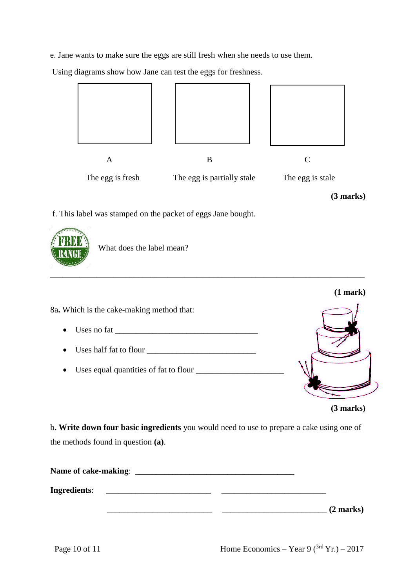e. Jane wants to make sure the eggs are still fresh when she needs to use them.

Using diagrams show how Jane can test the eggs for freshness.



**(3 marks)** 

f. This label was stamped on the packet of eggs Jane bought.



What does the label mean?



b**. Write down four basic ingredients** you would need to use to prepare a cake using one of the methods found in question **(a)**.

| Name of cake-making: |  |                     |
|----------------------|--|---------------------|
| <b>Ingredients:</b>  |  |                     |
|                      |  | $(2 \text{ marks})$ |